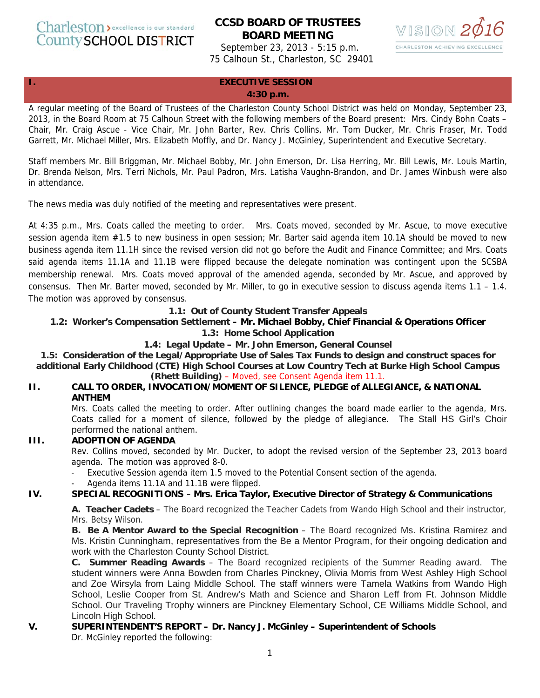Charleston > excellence is our standard **County SCHOOL DISTRICT** 

# **CCSD BOARD OF TRUSTEES BOARD MEETING**

September 23, 2013 - 5:15 p.m. 75 Calhoun St., Charleston, SC 29401



#### **I. EXECUTIVE SESSION**

#### **4:30 p.m.**

A regular meeting of the Board of Trustees of the Charleston County School District was held on Monday, September 23, 2013, in the Board Room at 75 Calhoun Street with the following members of the Board present: Mrs. Cindy Bohn Coats – Chair, Mr. Craig Ascue - Vice Chair, Mr. John Barter, Rev. Chris Collins, Mr. Tom Ducker, Mr. Chris Fraser, Mr. Todd Garrett, Mr. Michael Miller, Mrs. Elizabeth Moffly, and Dr. Nancy J. McGinley, Superintendent and Executive Secretary.

Staff members Mr. Bill Briggman, Mr. Michael Bobby, Mr. John Emerson, Dr. Lisa Herring, Mr. Bill Lewis, Mr. Louis Martin, Dr. Brenda Nelson, Mrs. Terri Nichols, Mr. Paul Padron, Mrs. Latisha Vaughn-Brandon, and Dr. James Winbush were also in attendance.

The news media was duly notified of the meeting and representatives were present.

At 4:35 p.m., Mrs. Coats called the meeting to order. Mrs. Coats moved, seconded by Mr. Ascue, to move executive session agenda item #1.5 to new business in open session; Mr. Barter said agenda item 10.1A should be moved to new business agenda item 11.1H since the revised version did not go before the Audit and Finance Committee; and Mrs. Coats said agenda items 11.1A and 11.1B were flipped because the delegate nomination was contingent upon the SCSBA membership renewal. Mrs. Coats moved approval of the amended agenda, seconded by Mr. Ascue, and approved by consensus. Then Mr. Barter moved, seconded by Mr. Miller, to go in executive session to discuss agenda items 1.1 – 1.4. The motion was approved by consensus.

#### **1.1: Out of County Student Transfer Appeals**

#### **1.2: Worker's Compensation Settlement – Mr. Michael Bobby, Chief Financial & Operations Officer**

#### **1.3: Home School Application**

#### **1.4: Legal Update – Mr. John Emerson, General Counsel**

**1.5: Consideration of the Legal/Appropriate Use of Sales Tax Funds to design and construct spaces for additional Early Childhood (CTE) High School Courses at Low Country Tech at Burke High School Campus** 

# **(Rhett Building)** – Moved, see Consent Agenda item 11.1.

### **II. CALL TO ORDER, INVOCATION/MOMENT OF SILENCE, PLEDGE of ALLEGIANCE, & NATIONAL ANTHEM**

Mrs. Coats called the meeting to order. After outlining changes the board made earlier to the agenda, Mrs. Coats called for a moment of silence, followed by the pledge of allegiance. The Stall HS Girl's Choir performed the national anthem.

# **III. ADOPTION OF AGENDA**

Rev. Collins moved, seconded by Mr. Ducker, to adopt the revised version of the September 23, 2013 board agenda. The motion was approved 8-0.

- Executive Session agenda item 1.5 moved to the Potential Consent section of the agenda.
- Agenda items 11.1A and 11.1B were flipped.

# **IV. SPECIAL RECOGNITIONS** – **Mrs. Erica Taylor, Executive Director of Strategy & Communications**

**A. Teacher Cadets** – The Board recognized the Teacher Cadets from Wando High School and their instructor, Mrs. Betsy Wilson.

**B. Be A Mentor Award to the Special Recognition** – The Board recognized Ms. Kristina Ramirez and Ms. Kristin Cunningham, representatives from the Be a Mentor Program, for their ongoing dedication and work with the Charleston County School District.

**C. Summer Reading Awards** – The Board recognized recipients of the Summer Reading award. The student winners were Anna Bowden from Charles Pinckney, Olivia Morris from West Ashley High School and Zoe Wirsyla from Laing Middle School. The staff winners were Tamela Watkins from Wando High School, Leslie Cooper from St. Andrew's Math and Science and Sharon Leff from Ft. Johnson Middle School. Our Traveling Trophy winners are Pinckney Elementary School, CE Williams Middle School, and Lincoln High School.

#### **V. SUPERINTENDENT'S REPORT – Dr. Nancy J. McGinley – Superintendent of Schools**  Dr. McGinley reported the following: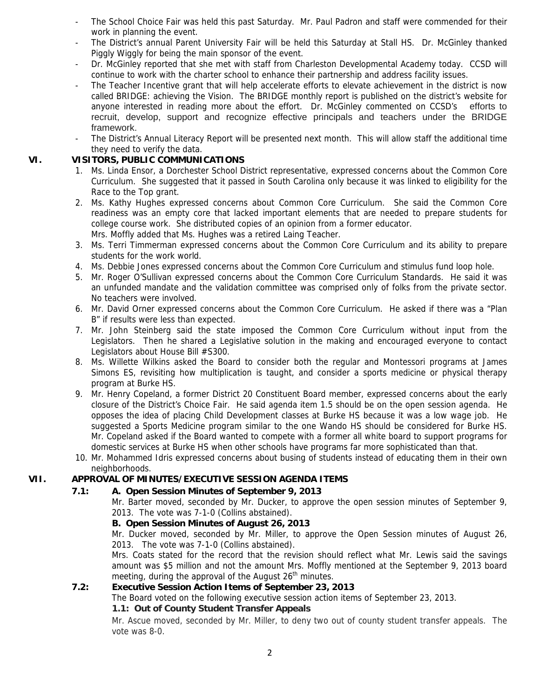- The School Choice Fair was held this past Saturday. Mr. Paul Padron and staff were commended for their work in planning the event.
- The District's annual Parent University Fair will be held this Saturday at Stall HS. Dr. McGinley thanked Piggly Wiggly for being the main sponsor of the event.
- Dr. McGinley reported that she met with staff from Charleston Developmental Academy today. CCSD will continue to work with the charter school to enhance their partnership and address facility issues.
- The Teacher Incentive grant that will help accelerate efforts to elevate achievement in the district is now called BRIDGE: achieving the Vision. The BRIDGE monthly report is published on the district's website for anyone interested in reading more about the effort. Dr. McGinley commented on CCSD's efforts to recruit, develop, support and recognize effective principals and teachers under the BRIDGE framework.
- The District's Annual Literacy Report will be presented next month. This will allow staff the additional time they need to verify the data.

### **VI. VISITORS, PUBLIC COMMUNICATIONS**

- 1. Ms. Linda Ensor, a Dorchester School District representative, expressed concerns about the Common Core Curriculum. She suggested that it passed in South Carolina only because it was linked to eligibility for the Race to the Top grant.
- 2. Ms. Kathy Hughes expressed concerns about Common Core Curriculum. She said the Common Core readiness was an empty core that lacked important elements that are needed to prepare students for college course work. She distributed copies of an opinion from a former educator. Mrs. Moffly added that Ms. Hughes was a retired Laing Teacher.
- 3. Ms. Terri Timmerman expressed concerns about the Common Core Curriculum and its ability to prepare students for the work world.
- 4. Ms. Debbie Jones expressed concerns about the Common Core Curriculum and stimulus fund loop hole.
- 5. Mr. Roger O'Sullivan expressed concerns about the Common Core Curriculum Standards. He said it was an unfunded mandate and the validation committee was comprised only of folks from the private sector. No teachers were involved.
- 6. Mr. David Orner expressed concerns about the Common Core Curriculum. He asked if there was a "Plan B" if results were less than expected.
- 7. Mr. John Steinberg said the state imposed the Common Core Curriculum without input from the Legislators. Then he shared a Legislative solution in the making and encouraged everyone to contact Legislators about House Bill #S300.
- 8. Ms. Willette Wilkins asked the Board to consider both the regular and Montessori programs at James Simons ES, revisiting how multiplication is taught, and consider a sports medicine or physical therapy program at Burke HS.
- 9. Mr. Henry Copeland, a former District 20 Constituent Board member, expressed concerns about the early closure of the District's Choice Fair. He said agenda item 1.5 should be on the open session agenda. He opposes the idea of placing Child Development classes at Burke HS because it was a low wage job. He suggested a Sports Medicine program similar to the one Wando HS should be considered for Burke HS. Mr. Copeland asked if the Board wanted to compete with a former all white board to support programs for domestic services at Burke HS when other schools have programs far more sophisticated than that.
- 10. Mr. Mohammed Idris expressed concerns about busing of students instead of educating them in their own neighborhoods.

# **VII. APPROVAL OF MINUTES/EXECUTIVE SESSION AGENDA ITEMS**

### **7.1: A. Open Session Minutes of September 9, 2013**

Mr. Barter moved, seconded by Mr. Ducker, to approve the open session minutes of September 9, 2013. The vote was 7-1-0 (Collins abstained).

### **B. Open Session Minutes of August 26, 2013**

Mr. Ducker moved, seconded by Mr. Miller, to approve the Open Session minutes of August 26, 2013. The vote was 7-1-0 (Collins abstained).

Mrs. Coats stated for the record that the revision should reflect what Mr. Lewis said the savings amount was \$5 million and not the amount Mrs. Moffly mentioned at the September 9, 2013 board meeting, during the approval of the August  $26<sup>th</sup>$  minutes.

### **7.2: Executive Session Action Items of September 23, 2013**

The Board voted on the following executive session action items of September 23, 2013.

### **1.1: Out of County Student Transfer Appeals**

Mr. Ascue moved, seconded by Mr. Miller, to deny two out of county student transfer appeals. The vote was 8-0.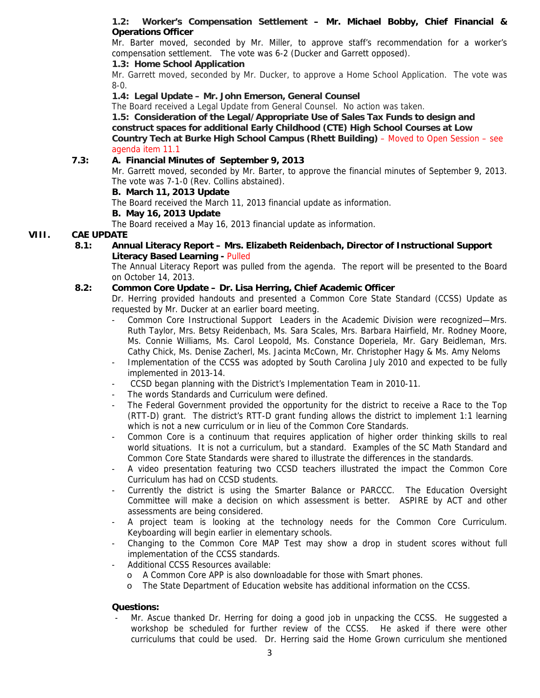### **1.2: Worker's Compensation Settlement – Mr. Michael Bobby, Chief Financial & Operations Officer**

Mr. Barter moved, seconded by Mr. Miller, to approve staff's recommendation for a worker's compensation settlement. The vote was 6-2 (Ducker and Garrett opposed).

### **1.3: Home School Application**

Mr. Garrett moved, seconded by Mr. Ducker, to approve a Home School Application. The vote was 8-0.

### **1.4: Legal Update – Mr. John Emerson, General Counsel**

The Board received a Legal Update from General Counsel. No action was taken.

 **1.5: Consideration of the Legal/Appropriate Use of Sales Tax Funds to design and construct spaces for additional Early Childhood (CTE) High School Courses at Low Country Tech at Burke High School Campus (Rhett Building)** – Moved to Open Session – see agenda item 11.1

### **7.3: A. Financial Minutes of September 9, 2013**

Mr. Garrett moved, seconded by Mr. Barter, to approve the financial minutes of September 9, 2013. The vote was 7-1-0 (Rev. Collins abstained).

### **B. March 11, 2013 Update**

The Board received the March 11, 2013 financial update as information.

#### **B. May 16, 2013 Update**

The Board received a May 16, 2013 financial update as information.

### **VIII. CAE UPDATE**

 **8.1: Annual Literacy Report – Mrs. Elizabeth Reidenbach, Director of Instructional Support Literacy Based Learning -** Pulled

The Annual Literacy Report was pulled from the agenda. The report will be presented to the Board on October 14, 2013.

### **8.2: Common Core Update – Dr. Lisa Herring, Chief Academic Officer**

Dr. Herring provided handouts and presented a Common Core State Standard (CCSS) Update as requested by Mr. Ducker at an earlier board meeting.

- Common Core Instructional Support Leaders in the Academic Division were recognized—Mrs. Ruth Taylor, Mrs. Betsy Reidenbach, Ms. Sara Scales, Mrs. Barbara Hairfield, Mr. Rodney Moore, Ms. Connie Williams, Ms. Carol Leopold, Ms. Constance Doperiela, Mr. Gary Beidleman, Mrs. Cathy Chick, Ms. Denise Zacherl, Ms. Jacinta McCown, Mr. Christopher Hagy & Ms. Amy Neloms
- Implementation of the CCSS was adopted by South Carolina July 2010 and expected to be fully implemented in 2013-14.
- CCSD began planning with the District's Implementation Team in 2010-11.
- The words Standards and Curriculum were defined.
- The Federal Government provided the opportunity for the district to receive a Race to the Top (RTT-D) grant. The district's RTT-D grant funding allows the district to implement 1:1 learning which is not a new curriculum or in lieu of the Common Core Standards.
- Common Core is a continuum that requires application of higher order thinking skills to real world situations. It is not a curriculum, but a standard. Examples of the SC Math Standard and Common Core State Standards were shared to illustrate the differences in the standards.
- A video presentation featuring two CCSD teachers illustrated the impact the Common Core Curriculum has had on CCSD students.
- Currently the district is using the Smarter Balance or PARCCC. The Education Oversight Committee will make a decision on which assessment is better. ASPIRE by ACT and other assessments are being considered.
- A project team is looking at the technology needs for the Common Core Curriculum. Keyboarding will begin earlier in elementary schools.
- Changing to the Common Core MAP Test may show a drop in student scores without full implementation of the CCSS standards.
- Additional CCSS Resources available:
	- o A Common Core APP is also downloadable for those with Smart phones.
	- o The State Department of Education website has additional information on the CCSS.

### **Questions:**

Mr. Ascue thanked Dr. Herring for doing a good job in unpacking the CCSS. He suggested a workshop be scheduled for further review of the CCSS. He asked if there were other curriculums that could be used. Dr. Herring said the Home Grown curriculum she mentioned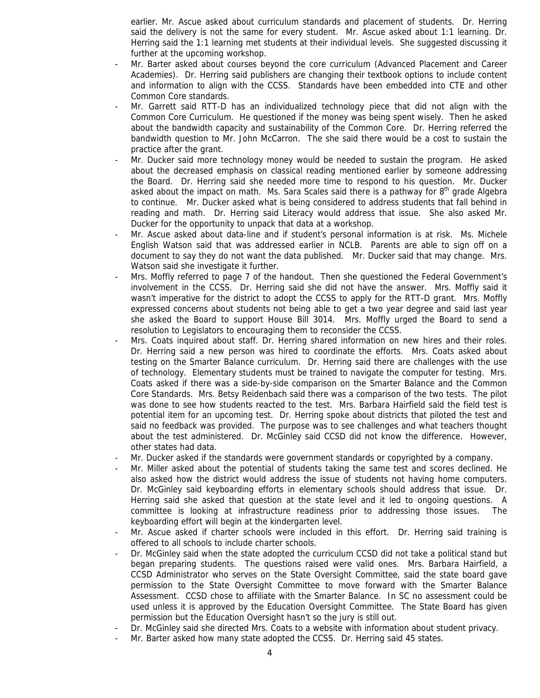earlier. Mr. Ascue asked about curriculum standards and placement of students. Dr. Herring said the delivery is not the same for every student. Mr. Ascue asked about 1:1 learning. Dr. Herring said the 1:1 learning met students at their individual levels. She suggested discussing it further at the upcoming workshop.

- Mr. Barter asked about courses beyond the core curriculum (Advanced Placement and Career Academies). Dr. Herring said publishers are changing their textbook options to include content and information to align with the CCSS. Standards have been embedded into CTE and other Common Core standards.
- Mr. Garrett said RTT-D has an individualized technology piece that did not align with the Common Core Curriculum. He questioned if the money was being spent wisely. Then he asked about the bandwidth capacity and sustainability of the Common Core. Dr. Herring referred the bandwidth question to Mr. John McCarron. The she said there would be a cost to sustain the practice after the grant.
- Mr. Ducker said more technology money would be needed to sustain the program. He asked about the decreased emphasis on classical reading mentioned earlier by someone addressing the Board. Dr. Herring said she needed more time to respond to his question. Mr. Ducker asked about the impact on math. Ms. Sara Scales said there is a pathway for  $8<sup>th</sup>$  grade Algebra to continue. Mr. Ducker asked what is being considered to address students that fall behind in reading and math. Dr. Herring said Literacy would address that issue. She also asked Mr. Ducker for the opportunity to unpack that data at a workshop.
- Mr. Ascue asked about data-line and if student's personal information is at risk. Ms. Michele English Watson said that was addressed earlier in NCLB. Parents are able to sign off on a document to say they do not want the data published. Mr. Ducker said that may change. Mrs. Watson said she investigate it further.
- Mrs. Moffly referred to page 7 of the handout. Then she questioned the Federal Government's involvement in the CCSS. Dr. Herring said she did not have the answer. Mrs. Moffly said it wasn't imperative for the district to adopt the CCSS to apply for the RTT-D grant. Mrs. Moffly expressed concerns about students not being able to get a two year degree and said last year she asked the Board to support House Bill 3014. Mrs. Moffly urged the Board to send a resolution to Legislators to encouraging them to reconsider the CCSS.
- Mrs. Coats inquired about staff. Dr. Herring shared information on new hires and their roles. Dr. Herring said a new person was hired to coordinate the efforts. Mrs. Coats asked about testing on the Smarter Balance curriculum. Dr. Herring said there are challenges with the use of technology. Elementary students must be trained to navigate the computer for testing. Mrs. Coats asked if there was a side-by-side comparison on the Smarter Balance and the Common Core Standards. Mrs. Betsy Reidenbach said there was a comparison of the two tests. The pilot was done to see how students reacted to the test. Mrs. Barbara Hairfield said the field test is potential item for an upcoming test. Dr. Herring spoke about districts that piloted the test and said no feedback was provided. The purpose was to see challenges and what teachers thought about the test administered. Dr. McGinley said CCSD did not know the difference. However, other states had data.
- Mr. Ducker asked if the standards were government standards or copyrighted by a company.
- Mr. Miller asked about the potential of students taking the same test and scores declined. He also asked how the district would address the issue of students not having home computers. Dr. McGinley said keyboarding efforts in elementary schools should address that issue. Dr. Herring said she asked that question at the state level and it led to ongoing questions. A committee is looking at infrastructure readiness prior to addressing those issues. The keyboarding effort will begin at the kindergarten level.
- Mr. Ascue asked if charter schools were included in this effort. Dr. Herring said training is offered to all schools to include charter schools.
- Dr. McGinley said when the state adopted the curriculum CCSD did not take a political stand but began preparing students. The questions raised were valid ones. Mrs. Barbara Hairfield, a CCSD Administrator who serves on the State Oversight Committee, said the state board gave permission to the State Oversight Committee to move forward with the Smarter Balance Assessment. CCSD chose to affiliate with the Smarter Balance. In SC no assessment could be used unless it is approved by the Education Oversight Committee. The State Board has given permission but the Education Oversight hasn't so the jury is still out.
- Dr. McGinley said she directed Mrs. Coats to a website with information about student privacy.
- Mr. Barter asked how many state adopted the CCSS. Dr. Herring said 45 states.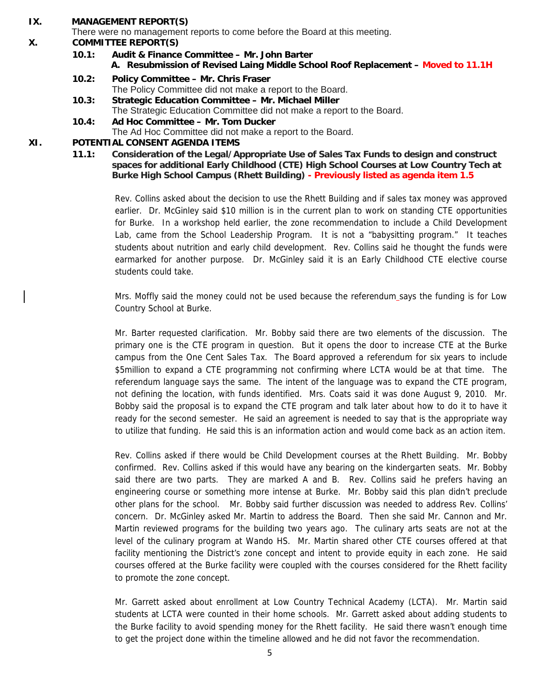#### **IX. MANAGEMENT REPORT(S)**

There were no management reports to come before the Board at this meeting.

#### **X. COMMITTEE REPORT(S)**

- **10.1: Audit & Finance Committee Mr. John Barter A. Resubmission of Revised Laing Middle School Roof Replacement – Moved to 11.1H**
- **10.2: Policy Committee Mr. Chris Fraser**  The Policy Committee did not make a report to the Board.
- **10.3: Strategic Education Committee Mr. Michael Miller**  The Strategic Education Committee did not make a report to the Board.
- **10.4: Ad Hoc Committee Mr. Tom Ducker**  The Ad Hoc Committee did not make a report to the Board.

### **XI. POTENTIAL CONSENT AGENDA ITEMS**

**11.1: Consideration of the Legal/Appropriate Use of Sales Tax Funds to design and construct spaces for additional Early Childhood (CTE) High School Courses at Low Country Tech at Burke High School Campus (Rhett Building) - Previously listed as agenda item 1.5**

Rev. Collins asked about the decision to use the Rhett Building and if sales tax money was approved earlier. Dr. McGinley said \$10 million is in the current plan to work on standing CTE opportunities for Burke. In a workshop held earlier, the zone recommendation to include a Child Development Lab, came from the School Leadership Program. It is not a "babysitting program." It teaches students about nutrition and early child development. Rev. Collins said he thought the funds were earmarked for another purpose. Dr. McGinley said it is an Early Childhood CTE elective course students could take.

Mrs. Moffly said the money could not be used because the referendum says the funding is for Low Country School at Burke.

Mr. Barter requested clarification. Mr. Bobby said there are two elements of the discussion. The primary one is the CTE program in question. But it opens the door to increase CTE at the Burke campus from the One Cent Sales Tax. The Board approved a referendum for six years to include \$5million to expand a CTE programming not confirming where LCTA would be at that time. The referendum language says the same. The intent of the language was to expand the CTE program, not defining the location, with funds identified. Mrs. Coats said it was done August 9, 2010. Mr. Bobby said the proposal is to expand the CTE program and talk later about how to do it to have it ready for the second semester. He said an agreement is needed to say that is the appropriate way to utilize that funding. He said this is an information action and would come back as an action item.

Rev. Collins asked if there would be Child Development courses at the Rhett Building. Mr. Bobby confirmed. Rev. Collins asked if this would have any bearing on the kindergarten seats. Mr. Bobby said there are two parts. They are marked A and B. Rev. Collins said he prefers having an engineering course or something more intense at Burke. Mr. Bobby said this plan didn't preclude other plans for the school. Mr. Bobby said further discussion was needed to address Rev. Collins' concern. Dr. McGinley asked Mr. Martin to address the Board. Then she said Mr. Cannon and Mr. Martin reviewed programs for the building two years ago. The culinary arts seats are not at the level of the culinary program at Wando HS. Mr. Martin shared other CTE courses offered at that facility mentioning the District's zone concept and intent to provide equity in each zone. He said courses offered at the Burke facility were coupled with the courses considered for the Rhett facility to promote the zone concept.

Mr. Garrett asked about enrollment at Low Country Technical Academy (LCTA). Mr. Martin said students at LCTA were counted in their home schools. Mr. Garrett asked about adding students to the Burke facility to avoid spending money for the Rhett facility. He said there wasn't enough time to get the project done within the timeline allowed and he did not favor the recommendation.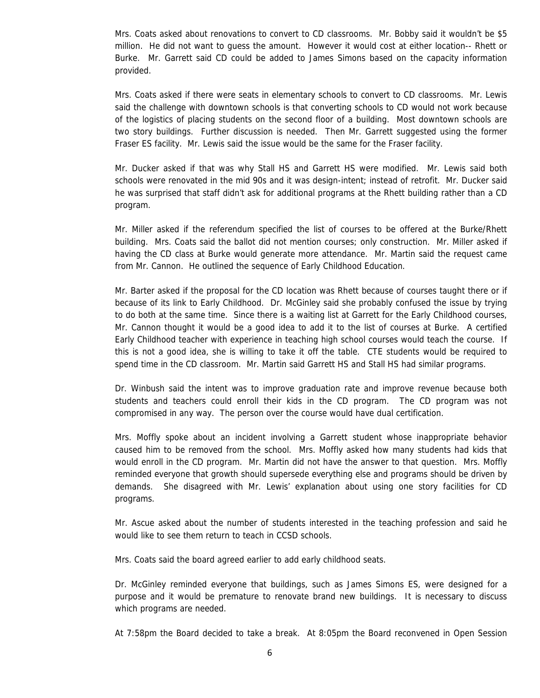Mrs. Coats asked about renovations to convert to CD classrooms. Mr. Bobby said it wouldn't be \$5 million. He did not want to guess the amount. However it would cost at either location-- Rhett or Burke. Mr. Garrett said CD could be added to James Simons based on the capacity information provided.

Mrs. Coats asked if there were seats in elementary schools to convert to CD classrooms. Mr. Lewis said the challenge with downtown schools is that converting schools to CD would not work because of the logistics of placing students on the second floor of a building. Most downtown schools are two story buildings. Further discussion is needed. Then Mr. Garrett suggested using the former Fraser ES facility. Mr. Lewis said the issue would be the same for the Fraser facility.

Mr. Ducker asked if that was why Stall HS and Garrett HS were modified. Mr. Lewis said both schools were renovated in the mid 90s and it was design-intent; instead of retrofit. Mr. Ducker said he was surprised that staff didn't ask for additional programs at the Rhett building rather than a CD program.

Mr. Miller asked if the referendum specified the list of courses to be offered at the Burke/Rhett building. Mrs. Coats said the ballot did not mention courses; only construction. Mr. Miller asked if having the CD class at Burke would generate more attendance. Mr. Martin said the request came from Mr. Cannon. He outlined the sequence of Early Childhood Education.

Mr. Barter asked if the proposal for the CD location was Rhett because of courses taught there or if because of its link to Early Childhood. Dr. McGinley said she probably confused the issue by trying to do both at the same time. Since there is a waiting list at Garrett for the Early Childhood courses, Mr. Cannon thought it would be a good idea to add it to the list of courses at Burke. A certified Early Childhood teacher with experience in teaching high school courses would teach the course. If this is not a good idea, she is willing to take it off the table. CTE students would be required to spend time in the CD classroom. Mr. Martin said Garrett HS and Stall HS had similar programs.

Dr. Winbush said the intent was to improve graduation rate and improve revenue because both students and teachers could enroll their kids in the CD program. The CD program was not compromised in any way. The person over the course would have dual certification.

Mrs. Moffly spoke about an incident involving a Garrett student whose inappropriate behavior caused him to be removed from the school. Mrs. Moffly asked how many students had kids that would enroll in the CD program. Mr. Martin did not have the answer to that question. Mrs. Moffly reminded everyone that growth should supersede everything else and programs should be driven by demands. She disagreed with Mr. Lewis' explanation about using one story facilities for CD programs.

Mr. Ascue asked about the number of students interested in the teaching profession and said he would like to see them return to teach in CCSD schools.

Mrs. Coats said the board agreed earlier to add early childhood seats.

Dr. McGinley reminded everyone that buildings, such as James Simons ES, were designed for a purpose and it would be premature to renovate brand new buildings. It is necessary to discuss which programs are needed.

At 7:58pm the Board decided to take a break. At 8:05pm the Board reconvened in Open Session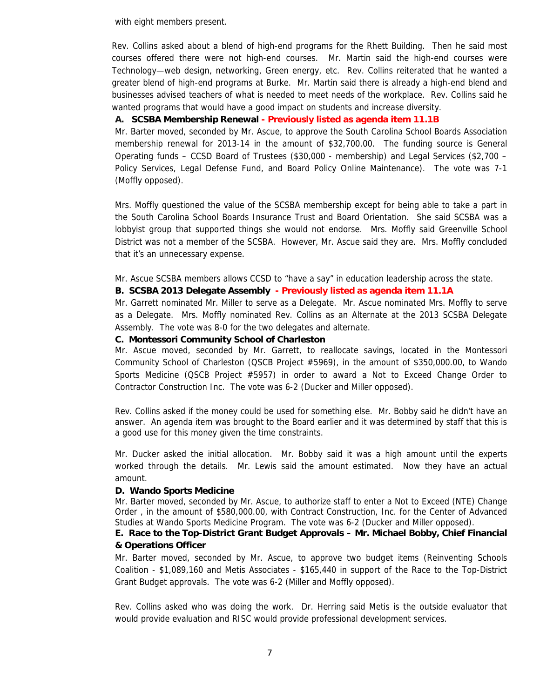with eight members present.

Rev. Collins asked about a blend of high-end programs for the Rhett Building. Then he said most courses offered there were not high-end courses. Mr. Martin said the high-end courses were Technology—web design, networking, Green energy, etc. Rev. Collins reiterated that he wanted a greater blend of high-end programs at Burke. Mr. Martin said there is already a high-end blend and businesses advised teachers of what is needed to meet needs of the workplace. Rev. Collins said he wanted programs that would have a good impact on students and increase diversity.

### **A. SCSBA Membership Renewal - Previously listed as agenda item 11.1B**

Mr. Barter moved, seconded by Mr. Ascue, to approve the South Carolina School Boards Association membership renewal for 2013-14 in the amount of \$32,700.00. The funding source is General Operating funds – CCSD Board of Trustees (\$30,000 - membership) and Legal Services (\$2,700 – Policy Services, Legal Defense Fund, and Board Policy Online Maintenance). The vote was 7-1 (Moffly opposed).

Mrs. Moffly questioned the value of the SCSBA membership except for being able to take a part in the South Carolina School Boards Insurance Trust and Board Orientation. She said SCSBA was a lobbyist group that supported things she would not endorse. Mrs. Moffly said Greenville School District was not a member of the SCSBA. However, Mr. Ascue said they are. Mrs. Moffly concluded that it's an unnecessary expense.

Mr. Ascue SCSBA members allows CCSD to "have a say" in education leadership across the state.

#### **B. SCSBA 2013 Delegate Assembly - Previously listed as agenda item 11.1A**

Mr. Garrett nominated Mr. Miller to serve as a Delegate. Mr. Ascue nominated Mrs. Moffly to serve as a Delegate. Mrs. Moffly nominated Rev. Collins as an Alternate at the 2013 SCSBA Delegate Assembly. The vote was 8-0 for the two delegates and alternate.

#### **C. Montessori Community School of Charleston**

Mr. Ascue moved, seconded by Mr. Garrett, to reallocate savings, located in the Montessori Community School of Charleston (QSCB Project #5969), in the amount of \$350,000.00, to Wando Sports Medicine (QSCB Project #5957) in order to award a Not to Exceed Change Order to Contractor Construction Inc. The vote was 6-2 (Ducker and Miller opposed).

Rev. Collins asked if the money could be used for something else. Mr. Bobby said he didn't have an answer. An agenda item was brought to the Board earlier and it was determined by staff that this is a good use for this money given the time constraints.

Mr. Ducker asked the initial allocation. Mr. Bobby said it was a high amount until the experts worked through the details. Mr. Lewis said the amount estimated. Now they have an actual amount.

#### **D. Wando Sports Medicine**

Mr. Barter moved, seconded by Mr. Ascue, to authorize staff to enter a Not to Exceed (NTE) Change Order , in the amount of \$580,000.00, with Contract Construction, Inc. for the Center of Advanced Studies at Wando Sports Medicine Program. The vote was 6-2 (Ducker and Miller opposed).

### **E. Race to the Top-District Grant Budget Approvals – Mr. Michael Bobby, Chief Financial & Operations Officer**

Mr. Barter moved, seconded by Mr. Ascue, to approve two budget items (Reinventing Schools Coalition - \$1,089,160 and Metis Associates - \$165,440 in support of the Race to the Top-District Grant Budget approvals. The vote was 6-2 (Miller and Moffly opposed).

Rev. Collins asked who was doing the work. Dr. Herring said Metis is the outside evaluator that would provide evaluation and RISC would provide professional development services.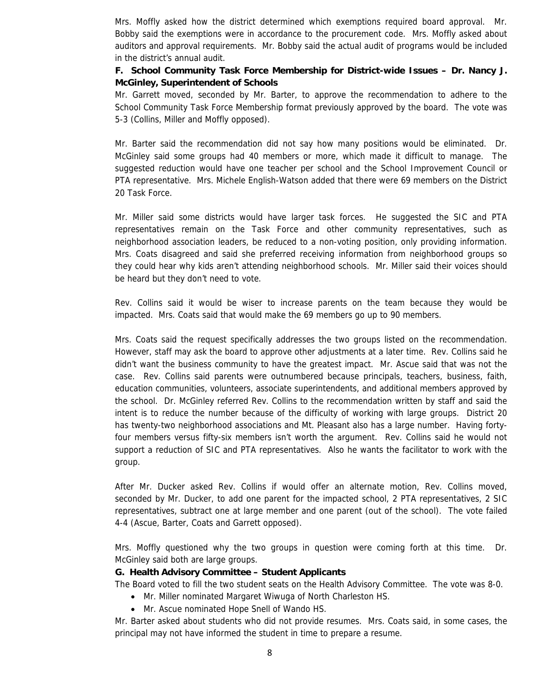Mrs. Moffly asked how the district determined which exemptions required board approval. Mr. Bobby said the exemptions were in accordance to the procurement code. Mrs. Moffly asked about auditors and approval requirements. Mr. Bobby said the actual audit of programs would be included in the district's annual audit.

 **F. School Community Task Force Membership for District-wide Issues – Dr. Nancy J. McGinley, Superintendent of Schools** 

Mr. Garrett moved, seconded by Mr. Barter, to approve the recommendation to adhere to the School Community Task Force Membership format previously approved by the board. The vote was 5-3 (Collins, Miller and Moffly opposed).

Mr. Barter said the recommendation did not say how many positions would be eliminated. Dr. McGinley said some groups had 40 members or more, which made it difficult to manage. The suggested reduction would have one teacher per school and the School Improvement Council or PTA representative. Mrs. Michele English-Watson added that there were 69 members on the District 20 Task Force.

Mr. Miller said some districts would have larger task forces. He suggested the SIC and PTA representatives remain on the Task Force and other community representatives, such as neighborhood association leaders, be reduced to a non-voting position, only providing information. Mrs. Coats disagreed and said she preferred receiving information from neighborhood groups so they could hear why kids aren't attending neighborhood schools. Mr. Miller said their voices should be heard but they don't need to vote.

Rev. Collins said it would be wiser to increase parents on the team because they would be impacted. Mrs. Coats said that would make the 69 members go up to 90 members.

Mrs. Coats said the request specifically addresses the two groups listed on the recommendation. However, staff may ask the board to approve other adjustments at a later time. Rev. Collins said he didn't want the business community to have the greatest impact. Mr. Ascue said that was not the case. Rev. Collins said parents were outnumbered because principals, teachers, business, faith, education communities, volunteers, associate superintendents, and additional members approved by the school. Dr. McGinley referred Rev. Collins to the recommendation written by staff and said the intent is to reduce the number because of the difficulty of working with large groups. District 20 has twenty-two neighborhood associations and Mt. Pleasant also has a large number. Having fortyfour members versus fifty-six members isn't worth the argument. Rev. Collins said he would not support a reduction of SIC and PTA representatives. Also he wants the facilitator to work with the group.

After Mr. Ducker asked Rev. Collins if would offer an alternate motion, Rev. Collins moved, seconded by Mr. Ducker, to add one parent for the impacted school, 2 PTA representatives, 2 SIC representatives, subtract one at large member and one parent (out of the school). The vote failed 4-4 (Ascue, Barter, Coats and Garrett opposed).

Mrs. Moffly questioned why the two groups in question were coming forth at this time. Dr. McGinley said both are large groups.

#### **G. Health Advisory Committee – Student Applicants**

The Board voted to fill the two student seats on the Health Advisory Committee. The vote was 8-0.

- Mr. Miller nominated Margaret Wiwuga of North Charleston HS.
- Mr. Ascue nominated Hope Snell of Wando HS.

Mr. Barter asked about students who did not provide resumes. Mrs. Coats said, in some cases, the principal may not have informed the student in time to prepare a resume.